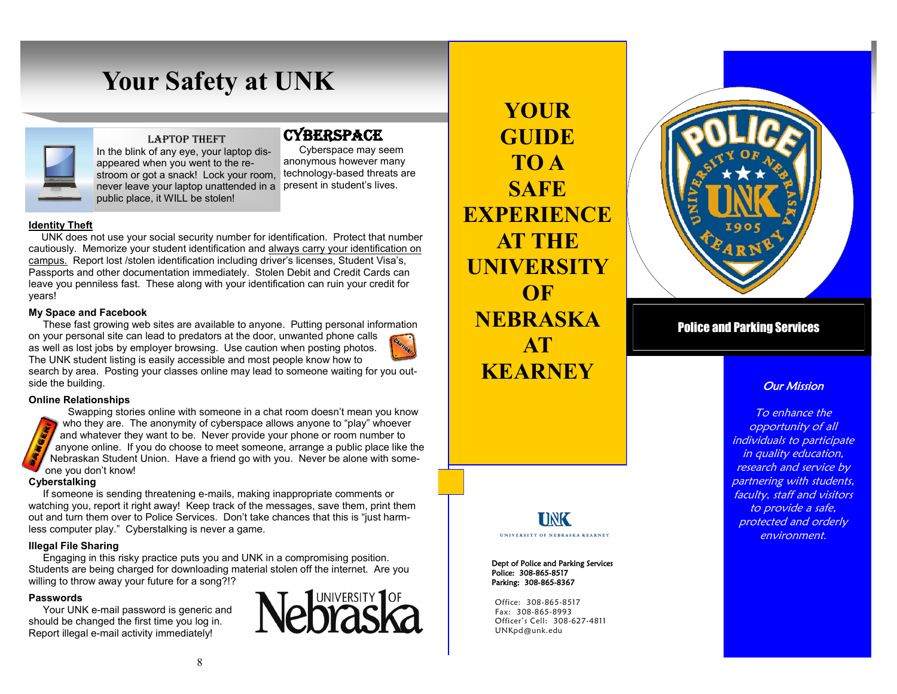

### LAPTOP THEFT

never leave your laptop unattended in a present in student's lives. In the blink of any eye, your laptop disappeared when you went to the restroom or got a snack! Lock your room. public place, it WILL be stolen!

# **CYBERSPACE**

Cyberspace may seem anonymous however many technology-based threats are

### **Identity Theft**

UNK does not use your social security number for identification. Protect that number cautiously. Memorize your student identification and always carry your identification on campus. Report lost /stolen identification including driver's licenses, Student Visa's, Passports and other documentation immediately. Stolen Debit and Credit Cards can leave you penniless fast. These along with your identification can ruin your credit for years!

### **My Space and Facebook**

These fast growing web sites are available to anyone. Putting personal information on your personal site can lead to predators at the door, unwanted phone calls as well as lost jobs by employer browsing. Use caution when posting photos. The UNK student listing is easily accessible and most people know how to search by area. Posting your classes online may lead to someone waiting for you outside the building.

### **Online Relationships**

 Swapping stories online with someone in a chat room doesn't mean you know who they are. The anonymity of cyberspace allows anyone to "play" whoever and whatever they want to be. Never provide your phone or room number to anyone online. If you do choose to meet someone, arrange a public place like the Nebraskan Student Union. Have a friend go with you. Never be alone with someone you don't know!

### **Cyberstalking**

 If someone is sending threatening e-mails, making inappropriate comments or watching you, report it right away! Keep track of the messages, save them, print them out and turn them over to Police Services. Don't take chances that this is "just harmless computer play." Cyberstalking is never a game.

### **Illegal File Sharing**

 Engaging in this risky practice puts you and UNK in a compromising position. Students are being charged for downloading material stolen off the internet. Are you willing to throw away your future for a song?!?

### **Passwords**

Your UNK e-mail password is generic and should be changed the first time you log in. Report illegal e-mail activity immediately!



**YOUR GUIDE TO A SAFE EXPERIENCE AT THE UNIVERSITY OF NEBRASKA AT KEARNEY**



### Police and Parking Services

### **Our Mission**

To enhance the opportunity of all individuals to participate in quality education, research and service by partnering with students, faculty, staff and visitors to provide a safe, protected and orderly environment.

### **UNK IINIVERSITY OF NEBRASKA KEARNEY**

Dept of Police and Parking Services Police: 308-865-8517 Parking: 308-865-8367

Office: 308-865-8517 Fax: 308-865-8993 Officer's Cell: 308-627-4811 UNKpd@unk.edu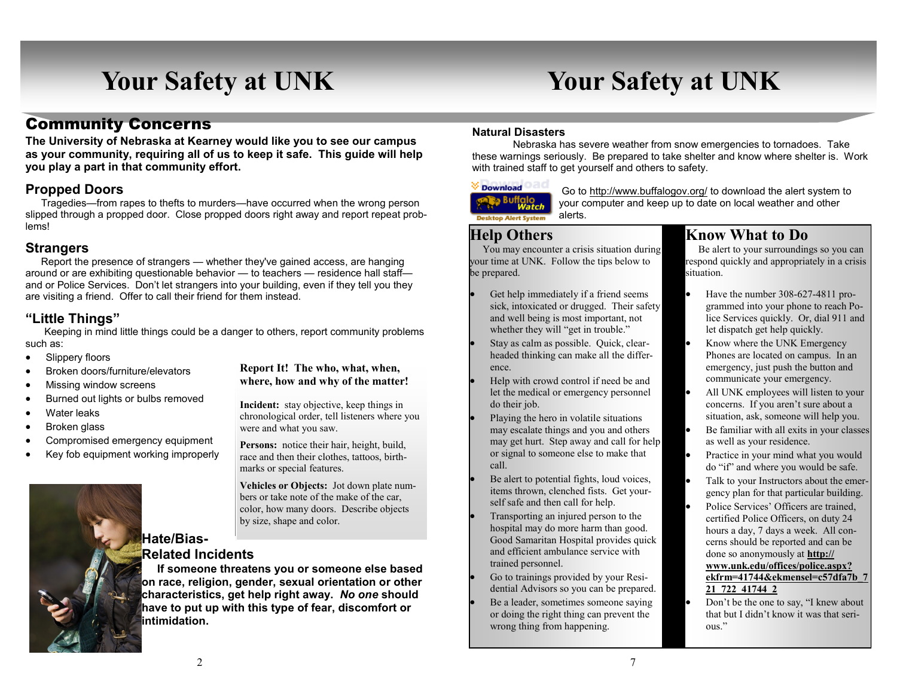# Community Concerns

**The University of Nebraska at Kearney would like you to see our campus as your community, requiring all of us to keep it safe. This guide will help you play a part in that community effort.**

### **Propped Doors**

Tragedies—from rapes to thefts to murders—have occurred when the wrong person slipped through a propped door. Close propped doors right away and report repeat problems!

### **Strangers**

Report the presence of strangers — whether they've gained access, are hanging around or are exhibiting questionable behavior — to teachers — residence hall staff and or Police Services. Don't let strangers into your building, even if they tell you they are visiting a friend. Offer to call their friend for them instead.

### **"Little Things"**

Keeping in mind little things could be a danger to others, report community problems such as:

- Slippery floors
- Broken doors/furniture/elevators
- Missing window screens
- Burned out lights or bulbs removed
- Water leaks
- Broken glass
- Compromised emergency equipment
- Key fob equipment working improperly



### **Report It! The who, what, when, where, how and why of the matter!**

**Incident:** stay objective, keep things in chronological order, tell listeners where you were and what you saw.

**Persons:** notice their hair, height, build, race and then their clothes, tattoos, birthmarks or special features.

**Vehicles or Objects:** Jot down plate numbers or take note of the make of the car, color, how many doors. Describe objects by size, shape and color.

# **Related Incidents**

 **If someone threatens you or someone else based on race, religion, gender, sexual orientation or other characteristics, get help right away.** *No one* **should have to put up with this type of fear, discomfort or intimidation.**

### **Natural Disasters**

Nebraska has severe weather from snow emergencies to tornadoes. Take these warnings seriously. Be prepared to take shelter and know where shelter is. Work with trained staff to get yourself and others to safety.

# Download



Go to http://www.buffalogov.org/ to download the alert system to your computer and keep up to date on local weather and other alerts.

# **Help Others**

 You may encounter a crisis situation during your time at UNK. Follow the tips below to be prepared.

- Get help immediately if a friend seems sick, intoxicated or drugged. Their safety and well being is most important, not whether they will "get in trouble."
- Stay as calm as possible. Quick, clearheaded thinking can make all the difference.
- Help with crowd control if need be and let the medical or emergency personnel do their job.
- Playing the hero in volatile situations may escalate things and you and others may get hurt. Step away and call for help or signal to someone else to make that call.
- Be alert to potential fights, loud voices, items thrown, clenched fists. Get yourself safe and then call for help.
- Transporting an injured person to the hospital may do more harm than good. Good Samaritan Hospital provides quick and efficient ambulance service with trained personnel.
- Go to trainings provided by your Residential Advisors so you can be prepared.
- Be a leader, sometimes someone saying or doing the right thing can prevent the wrong thing from happening.

# **Know What to Do**

 Be alert to your surroundings so you can respond quickly and appropriately in a crisis situation.

- Have the number 308-627-4811 programmed into your phone to reach Police Services quickly. Or, dial 911 and let dispatch get help quickly.
- Know where the UNK Emergency Phones are located on campus. In an emergency, just push the button and communicate your emergency.
- All UNK employees will listen to your concerns. If you aren't sure about a situation, ask, someone will help you.
- Be familiar with all exits in your classes as well as your residence.
- Practice in your mind what you would do "if" and where you would be safe.
- Talk to your Instructors about the emergency plan for that particular building.
- Police Services' Officers are trained, certified Police Officers, on duty 24 hours a day, 7 days a week. All concerns should be reported and can be done so anonymously at **http:// www.unk.edu/offices/police.aspx? ekfrm=41744&ekmensel=c57dfa7b\_7 21\_722\_41744\_2**
- Don't be the one to say, "I knew about that but I didn't know it was that serious."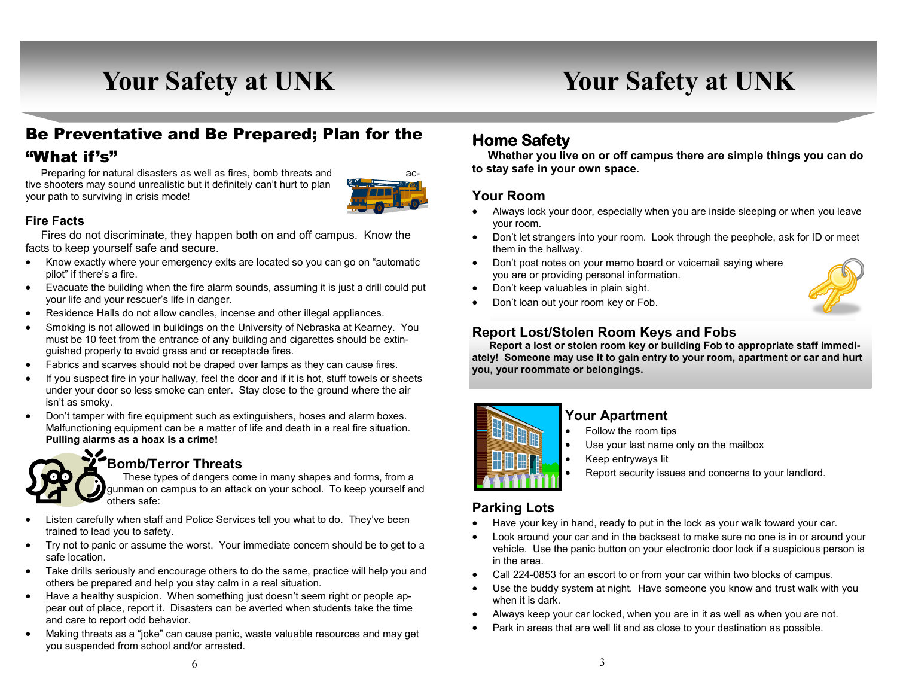# Be Preventative and Be Prepared; Plan for the "What if's"

 Preparing for natural disasters as well as fires, bomb threats and active shooters may sound unrealistic but it definitely can't hurt to plan your path to surviving in crisis mode!



### **Fire Facts**

 Fires do not discriminate, they happen both on and off campus. Know the facts to keep yourself safe and secure.

- Know exactly where your emergency exits are located so you can go on "automatic" pilot" if there's a fire.
- Evacuate the building when the fire alarm sounds, assuming it is just a drill could put your life and your rescuer's life in danger.
- Residence Halls do not allow candles, incense and other illegal appliances.
- Smoking is not allowed in buildings on the University of Nebraska at Kearney. You must be 10 feet from the entrance of any building and cigarettes should be extinguished properly to avoid grass and or receptacle fires.
- Fabrics and scarves should not be draped over lamps as they can cause fires.
- If you suspect fire in your hallway, feel the door and if it is hot, stuff towels or sheets under your door so less smoke can enter. Stay close to the ground where the air isn't as smoky.
- Don't tamper with fire equipment such as extinguishers, hoses and alarm boxes. Malfunctioning equipment can be a matter of life and death in a real fire situation. **Pulling alarms as a hoax is a crime!**



# **Bomb/Terror Threats**

 These types of dangers come in many shapes and forms, from a gunman on campus to an attack on your school. To keep yourself and others safe:

- Listen carefully when staff and Police Services tell you what to do. They've been trained to lead you to safety.
- Try not to panic or assume the worst. Your immediate concern should be to get to a safe location.
- Take drills seriously and encourage others to do the same, practice will help you and others be prepared and help you stay calm in a real situation.
- Have a healthy suspicion. When something just doesn't seem right or people appear out of place, report it. Disasters can be averted when students take the time and care to report odd behavior.
- Making threats as a "joke" can cause panic, waste valuable resources and may get you suspended from school and/or arrested.

# **Home Safety**

 **Whether you live on or off campus there are simple things you can do to stay safe in your own space.**

### **Your Room**

- Always lock your door, especially when you are inside sleeping or when you leave your room.
- Don't let strangers into your room. Look through the peephole, ask for ID or meet them in the hallway.
- Don't post notes on your memo board or voicemail saying where you are or providing personal information.
- Don't keep valuables in plain sight.
- Don't loan out your room key or Fob.

### **Report Lost/Stolen Room Keys and Fobs**

 **Report a lost or stolen room key or building Fob to appropriate staff immediately! Someone may use it to gain entry to your room, apartment or car and hurt you, your roommate or belongings.**



# **Your Apartment**

- Follow the room tips
- Use your last name only on the mailbox
- Keep entryways lit
	- Report security issues and concerns to your landlord.

### **Parking Lots**

- Have your key in hand, ready to put in the lock as your walk toward your car.
- Look around your car and in the backseat to make sure no one is in or around your vehicle. Use the panic button on your electronic door lock if a suspicious person is in the area.
- Call 224-0853 for an escort to or from your car within two blocks of campus.
- Use the buddy system at night. Have someone you know and trust walk with you when it is dark.
- Always keep your car locked, when you are in it as well as when you are not.
- Park in areas that are well lit and as close to your destination as possible.